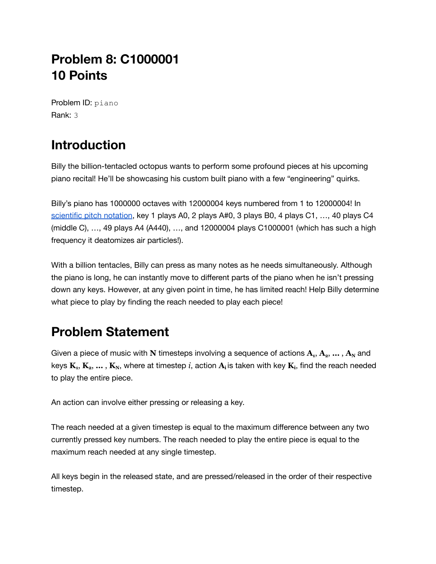## **Problem 8: C1000001 10 Points**

Problem ID: piano Rank: 3

# **Introduction**

Billy the billion-tentacled octopus wants to perform some profound pieces at his upcoming piano recital! He'll be showcasing his custom built piano with a few "engineering" quirks.

Billy's piano has 1000000 octaves with 12000004 keys numbered from 1 to 12000004! In [scientific](https://en.wikipedia.org/wiki/Scientific_pitch_notation) pitch notation, key 1 plays A0, 2 plays A#0, 3 plays B0, 4 plays C1, ..., 40 plays C4 (middle C), …, 49 plays A4 (A440), …, and 12000004 plays C1000001 (which has such a high frequency it deatomizes air particles!).

With a billion tentacles, Billy can press as many notes as he needs simultaneously. Although the piano is long, he can instantly move to different parts of the piano when he isn't pressing down any keys. However, at any given point in time, he has limited reach! Help Billy determine what piece to play by finding the reach needed to play each piece!

## **Problem Statement**

Given a piece of music with **N** timesteps involving a sequence of actions  $A_1, A_2, ..., A_N$  and keys  $\mathbf{K}_{1}, \mathbf{K}_{2}, \ldots, \mathbf{K}_{N}$ , where at timestep  $i$ , action  $\mathbf{A}_{i}$  is taken with key  $\mathbf{K}_{i}$ , find the reach needed to play the entire piece.

An action can involve either pressing or releasing a key.

The reach needed at a given timestep is equal to the maximum difference between any two currently pressed key numbers. The reach needed to play the entire piece is equal to the maximum reach needed at any single timestep.

All keys begin in the released state, and are pressed/released in the order of their respective timestep.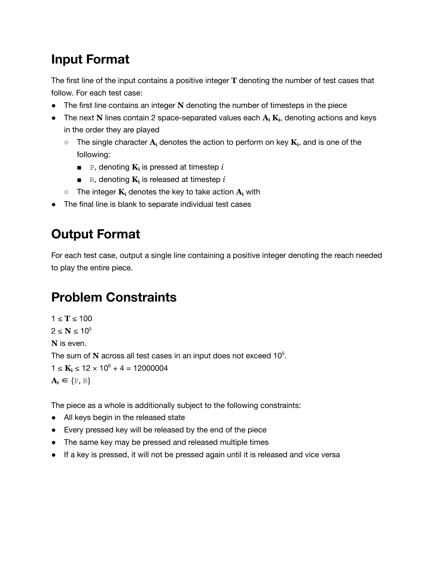## **Input Format**

The first line of the input contains a positive integer **T** denoting the number of test cases that follow. For each test case:

- The first line contains an integer **N** denoting the number of timesteps in the piece
- The next **N** lines contain 2 space-separated values each **A<sup>i</sup> Ki**, denoting actions and keys in the order they are played
	- $\circ$  The single character  $\mathbf{A}_i$  denotes the action to perform on key  $\mathbf{K}_i$ , and is one of the following:
		- P, denoting **K**<sub>i</sub> is pressed at timestep *i*
		- *■* R, denoting **K<sup>i</sup>** is released at timestep *i*
	- The integer **K<sup>i</sup>** denotes the key to take action **A<sup>i</sup>** with
- The final line is blank to separate individual test cases

## **Output Format**

For each test case, output a single line containing a positive integer denoting the reach needed to play the entire piece.

## **Problem Constraints**

 $1 ≤ T ≤ 100$  $2 ≤ N ≤ 10<sup>5</sup>$ **N** is even. The sum of N across all test cases in an input does not exceed 10<sup>5</sup>.  $1 \le K_i \le 12 \times 10^6 + 4 = 12000004$  $A_i \in \{P, R\}$ 

The piece as a whole is additionally subject to the following constraints:

- All keys begin in the released state
- Every pressed key will be released by the end of the piece
- The same key may be pressed and released multiple times
- If a key is pressed, it will not be pressed again until it is released and vice versa